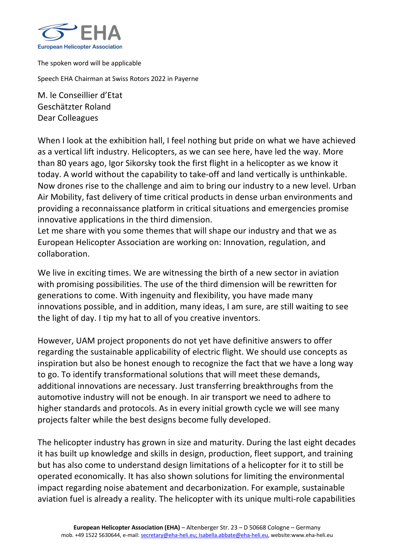

The spoken word will be applicable

Speech EHA Chairman at Swiss Rotors 2022 in Payerne

M. le Conseillier d'Etat Geschätzter Roland Dear Colleagues

When I look at the exhibition hall, I feel nothing but pride on what we have achieved as a vertical lift industry. Helicopters, as we can see here, have led the way. More than 80 years ago, Igor Sikorsky took the first flight in a helicopter as we know it today. A world without the capability to take-off and land vertically is unthinkable. Now drones rise to the challenge and aim to bring our industry to a new level. Urban Air Mobility, fast delivery of time critical products in dense urban environments and providing a reconnaissance platform in critical situations and emergencies promise innovative applications in the third dimension.

Let me share with you some themes that will shape our industry and that we as European Helicopter Association are working on: Innovation, regulation, and collaboration.

We live in exciting times. We are witnessing the birth of a new sector in aviation with promising possibilities. The use of the third dimension will be rewritten for generations to come. With ingenuity and flexibility, you have made many innovations possible, and in addition, many ideas, I am sure, are still waiting to see the light of day. I tip my hat to all of you creative inventors.

However, UAM project proponents do not yet have definitive answers to offer regarding the sustainable applicability of electric flight. We should use concepts as inspiration but also be honest enough to recognize the fact that we have a long way to go. To identify transformational solutions that will meet these demands, additional innovations are necessary. Just transferring breakthroughs from the automotive industry will not be enough. In air transport we need to adhere to higher standards and protocols. As in every initial growth cycle we will see many projects falter while the best designs become fully developed.

The helicopter industry has grown in size and maturity. During the last eight decades it has built up knowledge and skills in design, production, fleet support, and training but has also come to understand design limitations of a helicopter for it to still be operated economically. It has also shown solutions for limiting the environmental impact regarding noise abatement and decarbonization. For example, sustainable aviation fuel is already a reality. The helicopter with its unique multi-role capabilities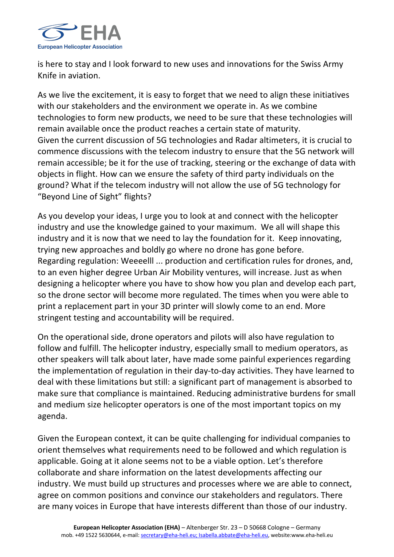

is here to stay and I look forward to new uses and innovations for the Swiss Army Knife in aviation.

As we live the excitement, it is easy to forget that we need to align these initiatives with our stakeholders and the environment we operate in. As we combine technologies to form new products, we need to be sure that these technologies will remain available once the product reaches a certain state of maturity. Given the current discussion of 5G technologies and Radar altimeters, it is crucial to commence discussions with the telecom industry to ensure that the 5G network will remain accessible; be it for the use of tracking, steering or the exchange of data with objects in flight. How can we ensure the safety of third party individuals on the ground? What if the telecom industry will not allow the use of 5G technology for "Beyond Line of Sight" flights?

As you develop your ideas, I urge you to look at and connect with the helicopter industry and use the knowledge gained to your maximum. We all will shape this industry and it is now that we need to lay the foundation for it. Keep innovating, trying new approaches and boldly go where no drone has gone before. Regarding regulation: Weeeelll ... production and certification rules for drones, and, to an even higher degree Urban Air Mobility ventures, will increase. Just as when designing a helicopter where you have to show how you plan and develop each part, so the drone sector will become more regulated. The times when you were able to print a replacement part in your 3D printer will slowly come to an end. More stringent testing and accountability will be required.

On the operational side, drone operators and pilots will also have regulation to follow and fulfill. The helicopter industry, especially small to medium operators, as other speakers will talk about later, have made some painful experiences regarding the implementation of regulation in their day-to-day activities. They have learned to deal with these limitations but still: a significant part of management is absorbed to make sure that compliance is maintained. Reducing administrative burdens for small and medium size helicopter operators is one of the most important topics on my agenda.

Given the European context, it can be quite challenging for individual companies to orient themselves what requirements need to be followed and which regulation is applicable. Going at it alone seems not to be a viable option. Let's therefore collaborate and share information on the latest developments affecting our industry. We must build up structures and processes where we are able to connect, agree on common positions and convince our stakeholders and regulators. There are many voices in Europe that have interests different than those of our industry.